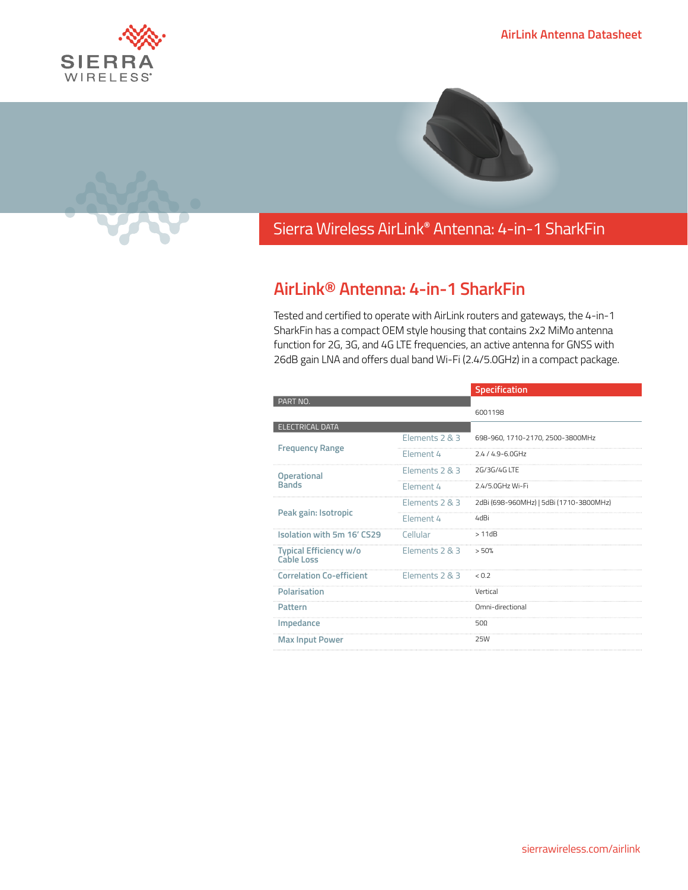





## Sierra Wireless **EMBEDDED MODULES HL SERIES** AirLink**®** Antenna: 4-in-1 SharkFin

## **AirLink® Antenna: 4-in-1 SharkFin**

Tested and certified to operate with AirLink routers and gateways, the 4-in-1 SharkFin has a compact OEM style housing that contains 2x2 MiMo antenna function for 2G, 3G, and 4G LTE frequencies, an active antenna for GNSS with 26dB gain LNA and offers dual band Wi-Fi (2.4/5.0GHz) in a compact package.

|                                             |                | Specification                           |
|---------------------------------------------|----------------|-----------------------------------------|
| PART NO.                                    |                |                                         |
|                                             |                | 6001198                                 |
| <b>ELECTRICAL DATA</b>                      |                |                                         |
| <b>Frequency Range</b>                      | Elements 2 & 3 | 698-960, 1710-2170, 2500-3800MHz        |
|                                             | Element 4      | $2.4/4.9 - 6.0$ GHz                     |
| <b>Operational</b><br><b>Bands</b>          | Elements 2 & 3 | 2G/3G/4G LTF                            |
|                                             | Flement 4      | 2.4/5.0GHz Wi-Fi                        |
| Peak gain: Isotropic                        | Elements 2 & 3 | 2dBi (698-960MHz)   5dBi (1710-3800MHz) |
|                                             | Flement 4      | 4dBi                                    |
| Isolation with 5m 16' CS29                  | Cellular       | >11dB                                   |
| Typical Efficiency w/o<br><b>Cable Loss</b> | Elements 2 & 3 | > 50%                                   |
| <b>Correlation Co-efficient</b>             | Elements 2 & 3 | 0.7                                     |
| Polarisation                                |                | Vertical                                |
| Pattern                                     |                | Omni-directional                        |
| Impedance                                   |                | 500                                     |
| <b>Max Input Power</b>                      |                | <b>25W</b>                              |
|                                             |                |                                         |